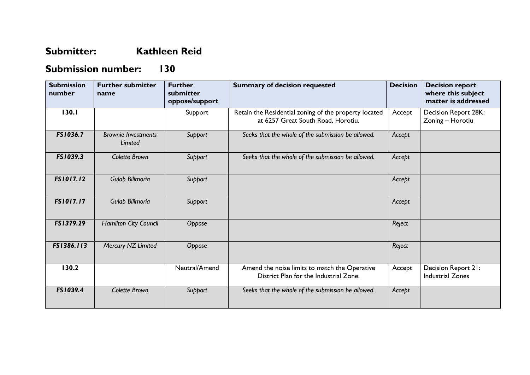## **Submitter: Kathleen Reid**

## **Submission number: 130**

| <b>Submission</b><br>number | <b>Further submitter</b><br>name      | <b>Further</b><br>submitter<br>oppose/support | <b>Summary of decision requested</b>                                                        | <b>Decision</b> | <b>Decision report</b><br>where this subject<br>matter is addressed |
|-----------------------------|---------------------------------------|-----------------------------------------------|---------------------------------------------------------------------------------------------|-----------------|---------------------------------------------------------------------|
| 130.1                       |                                       | Support                                       | Retain the Residential zoning of the property located<br>at 6257 Great South Road, Horotiu. | Accept          | Decision Report 28K:<br>Zoning - Horotiu                            |
| FS1036.7                    | <b>Brownie Investments</b><br>Limited | Support                                       | Seeks that the whole of the submission be allowed.                                          | Accept          |                                                                     |
| FS1039.3                    | Colette Brown                         | Support                                       | Seeks that the whole of the submission be allowed.                                          | Accept          |                                                                     |
| FS1017.12                   | Gulab Bilimoria                       | Support                                       |                                                                                             | Accept          |                                                                     |
| FS1017.17                   | Gulab Bilimoria                       | Support                                       |                                                                                             | Accept          |                                                                     |
| FS1379.29                   | <b>Hamilton City Council</b>          | Oppose                                        |                                                                                             | Reject          |                                                                     |
| FS1386.113                  | Mercury NZ Limited                    | Oppose                                        |                                                                                             | Reject          |                                                                     |
| 130.2                       |                                       | Neutral/Amend                                 | Amend the noise limits to match the Operative<br>District Plan for the Industrial Zone.     | Accept          | Decision Report 21:<br><b>Industrial Zones</b>                      |
| FS1039.4                    | <b>Colette Brown</b>                  | Support                                       | Seeks that the whole of the submission be allowed.                                          | Accept          |                                                                     |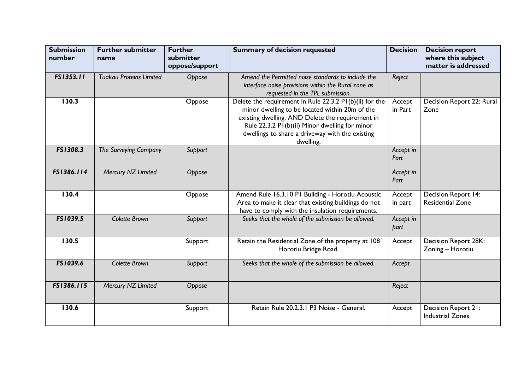| <b>Submission</b><br>number | <b>Further submitter</b><br>name | <b>Further</b><br>submitter<br>oppose/support | <b>Summary of decision requested</b>                                                                                                                                                                                                                                            | <b>Decision</b>   | <b>Decision report</b><br>where this subject<br>matter is addressed |
|-----------------------------|----------------------------------|-----------------------------------------------|---------------------------------------------------------------------------------------------------------------------------------------------------------------------------------------------------------------------------------------------------------------------------------|-------------------|---------------------------------------------------------------------|
| FS1353.11                   | <b>Tuakau Proteins Limited</b>   | Oppose                                        | Amend the Permitted noise standards to include the<br>interface noise provisions within the Rural zone as<br>requested in the TPL submission.                                                                                                                                   | Reject            |                                                                     |
| 130.3                       |                                  | Oppose                                        | Delete the requirement in Rule 22.3.2 PI(b)(ii) for the<br>minor dwelling to be located within 20m of the<br>existing dwelling. AND Delete the requirement in<br>Rule 22.3.2 PI(b)(ii) Minor dwelling for minor<br>dwellings to share a driveway with the existing<br>dwelling. | Accept<br>in Part | Decision Report 22: Rural<br>Zone                                   |
| FS1308.3                    | The Surveying Company            | Support                                       |                                                                                                                                                                                                                                                                                 | Accept in<br>Part |                                                                     |
| FS1386.114                  | Mercury NZ Limited               | Oppose                                        |                                                                                                                                                                                                                                                                                 | Accept in<br>Part |                                                                     |
| 130.4                       |                                  | Oppose                                        | Amend Rule 16.3.10 P1 Building - Horotiu Acoustic<br>Area to make it clear that existing buildings do not<br>have to comply with the insulation requirements.                                                                                                                   | Accept<br>in part | Decision Report 14:<br><b>Residential Zone</b>                      |
| FS1039.5                    | <b>Colette Brown</b>             | Support                                       | Seeks that the whole of the submission be allowed.                                                                                                                                                                                                                              | Accept in<br>part |                                                                     |
| 130.5                       |                                  | Support                                       | Retain the Residential Zone of the property at 108<br>Horotiu Bridge Road.                                                                                                                                                                                                      | Accept            | <b>Decision Report 28K:</b><br>Zoning - Horotiu                     |
| FS1039.6                    | Colette Brown                    | Support                                       | Seeks that the whole of the submission be allowed.                                                                                                                                                                                                                              | Accept            |                                                                     |
| FS1386.115                  | Mercury NZ Limited               | Oppose                                        |                                                                                                                                                                                                                                                                                 | Reject            |                                                                     |
| 130.6                       |                                  | Support                                       | Retain Rule 20.2.3.1 P3 Noise - General.                                                                                                                                                                                                                                        | Accept            | Decision Report 21:<br><b>Industrial Zones</b>                      |